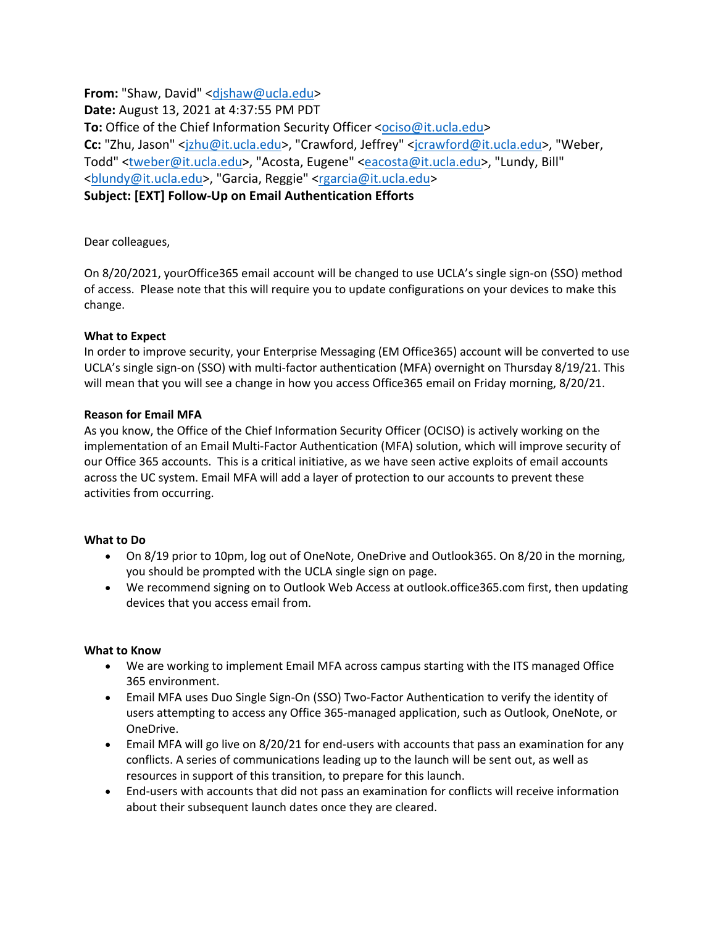**From:** "Shaw, David" <djshaw@ucla.edu> **Date:** August 13, 2021 at 4:37:55 PM PDT **To:** Office of the Chief Information Security Officer <ociso@it.ucla.edu> **Cc:** "Zhu, Jason" <jzhu@it.ucla.edu>, "Crawford, Jeffrey" <jcrawford@it.ucla.edu>, "Weber, Todd" <tweber@it.ucla.edu>, "Acosta, Eugene" <eacosta@it.ucla.edu>, "Lundy, Bill" <blundy@it.ucla.edu>, "Garcia, Reggie" <rgarcia@it.ucla.edu> **Subject: [EXT] Follow-Up on Email Authentication Efforts**

Dear colleagues, 

On 8/20/2021, yourOffice365 email account will be changed to use UCLA's single sign-on (SSO) method of access. Please note that this will require you to update configurations on your devices to make this change.

# **What to Expect**

In order to improve security, your Enterprise Messaging (EM Office365) account will be converted to use UCLA's single sign-on (SSO) with multi-factor authentication (MFA) overnight on Thursday 8/19/21. This will mean that you will see a change in how you access Office365 email on Friday morning, 8/20/21.  

# **Reason for Email MFA**

As you know, the Office of the Chief Information Security Officer (OCISO) is actively working on the implementation of an Email Multi-Factor Authentication (MFA) solution, which will improve security of our Office 365 accounts. This is a critical initiative, as we have seen active exploits of email accounts across the UC system. Email MFA will add a layer of protection to our accounts to prevent these activities from occurring. 

## **What to Do**

- On 8/19 prior to 10pm, log out of OneNote, OneDrive and Outlook365. On 8/20 in the morning, you should be prompted with the UCLA single sign on page.
- We recommend signing on to Outlook Web Access at outlook.office365.com first, then updating devices that you access email from.

## **What to Know**

- We are working to implement Email MFA across campus starting with the ITS managed Office 365 environment.
- Email MFA uses Duo Single Sign-On (SSO) Two-Factor Authentication to verify the identity of users attempting to access any Office 365-managed application, such as Outlook, OneNote, or OneDrive.
- Email MFA will go live on 8/20/21 for end-users with accounts that pass an examination for any conflicts. A series of communications leading up to the launch will be sent out, as well as resources in support of this transition, to prepare for this launch.
- End-users with accounts that did not pass an examination for conflicts will receive information about their subsequent launch dates once they are cleared.